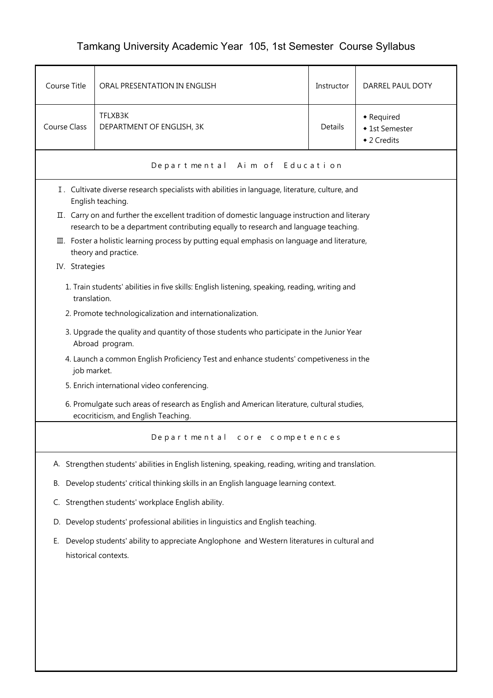## Tamkang University Academic Year 105, 1st Semester Course Syllabus

| Course Title                                                                                                          | ORAL PRESENTATION IN ENGLISH                                                                                                                                                          | Instructor | DARREL PAUL DOTY                            |  |  |  |
|-----------------------------------------------------------------------------------------------------------------------|---------------------------------------------------------------------------------------------------------------------------------------------------------------------------------------|------------|---------------------------------------------|--|--|--|
| <b>Course Class</b>                                                                                                   | TFLXB3K<br>DEPARTMENT OF ENGLISH, 3K                                                                                                                                                  | Details    | • Required<br>◆ 1st Semester<br>◆ 2 Credits |  |  |  |
|                                                                                                                       | Departmental Aim of Education                                                                                                                                                         |            |                                             |  |  |  |
|                                                                                                                       | I. Cultivate diverse research specialists with abilities in language, literature, culture, and<br>English teaching.                                                                   |            |                                             |  |  |  |
|                                                                                                                       | II. Carry on and further the excellent tradition of domestic language instruction and literary<br>research to be a department contributing equally to research and language teaching. |            |                                             |  |  |  |
| III. Foster a holistic learning process by putting equal emphasis on language and literature,<br>theory and practice. |                                                                                                                                                                                       |            |                                             |  |  |  |
| IV. Strategies                                                                                                        |                                                                                                                                                                                       |            |                                             |  |  |  |
|                                                                                                                       | 1. Train students' abilities in five skills: English listening, speaking, reading, writing and<br>translation.                                                                        |            |                                             |  |  |  |
|                                                                                                                       | 2. Promote technologicalization and internationalization.                                                                                                                             |            |                                             |  |  |  |
|                                                                                                                       | 3. Upgrade the quality and quantity of those students who participate in the Junior Year<br>Abroad program.                                                                           |            |                                             |  |  |  |
|                                                                                                                       | 4. Launch a common English Proficiency Test and enhance students' competiveness in the<br>job market.                                                                                 |            |                                             |  |  |  |
|                                                                                                                       | 5. Enrich international video conferencing.                                                                                                                                           |            |                                             |  |  |  |
|                                                                                                                       | 6. Promulgate such areas of research as English and American literature, cultural studies,<br>ecocriticism, and English Teaching.                                                     |            |                                             |  |  |  |
| Departmental core competences                                                                                         |                                                                                                                                                                                       |            |                                             |  |  |  |
|                                                                                                                       | A. Strengthen students' abilities in English listening, speaking, reading, writing and translation.                                                                                   |            |                                             |  |  |  |
| В.                                                                                                                    | Develop students' critical thinking skills in an English language learning context.                                                                                                   |            |                                             |  |  |  |
| C.                                                                                                                    | Strengthen students' workplace English ability.                                                                                                                                       |            |                                             |  |  |  |
| D.                                                                                                                    | Develop students' professional abilities in linguistics and English teaching.                                                                                                         |            |                                             |  |  |  |
| Е.                                                                                                                    | Develop students' ability to appreciate Anglophone and Western literatures in cultural and<br>historical contexts.                                                                    |            |                                             |  |  |  |
|                                                                                                                       |                                                                                                                                                                                       |            |                                             |  |  |  |
|                                                                                                                       |                                                                                                                                                                                       |            |                                             |  |  |  |
|                                                                                                                       |                                                                                                                                                                                       |            |                                             |  |  |  |
|                                                                                                                       |                                                                                                                                                                                       |            |                                             |  |  |  |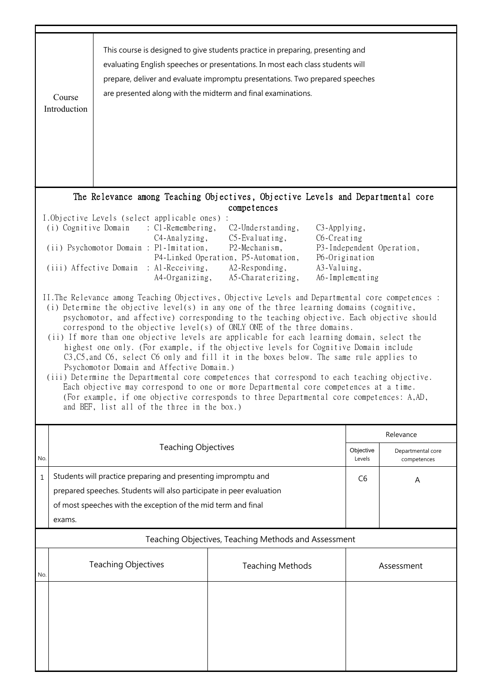|     | Course<br>Introduction                                                                                                                                                                                                                                                                                                                                                                                                                                                                                                                                                                                                                                                                                                                                                                                                                                                                                                                                                                                                                    | are presented along with the midterm and final examinations.                                                                                                                                           | This course is designed to give students practice in preparing, presenting and<br>evaluating English speeches or presentations. In most each class students will<br>prepare, deliver and evaluate impromptu presentations. Two prepared speeches |                     |                                  |  |
|-----|-------------------------------------------------------------------------------------------------------------------------------------------------------------------------------------------------------------------------------------------------------------------------------------------------------------------------------------------------------------------------------------------------------------------------------------------------------------------------------------------------------------------------------------------------------------------------------------------------------------------------------------------------------------------------------------------------------------------------------------------------------------------------------------------------------------------------------------------------------------------------------------------------------------------------------------------------------------------------------------------------------------------------------------------|--------------------------------------------------------------------------------------------------------------------------------------------------------------------------------------------------------|--------------------------------------------------------------------------------------------------------------------------------------------------------------------------------------------------------------------------------------------------|---------------------|----------------------------------|--|
|     |                                                                                                                                                                                                                                                                                                                                                                                                                                                                                                                                                                                                                                                                                                                                                                                                                                                                                                                                                                                                                                           |                                                                                                                                                                                                        | The Relevance among Teaching Objectives, Objective Levels and Departmental core                                                                                                                                                                  |                     |                                  |  |
|     | competences<br>I.Objective Levels (select applicable ones) :<br>(i) Cognitive Domain : C1-Remembering,<br>$C2$ -Understanding,<br>C3-Applying,<br>$C5$ -Evaluating,<br>C6-Creating<br>$C4$ -Analyzing,<br>(ii) Psychomotor Domain : P1-Imitation,<br>P2-Mechanism,<br>P3-Independent Operation,<br>P4-Linked Operation, P5-Automation,<br>P6-Origination<br>(iii) Affective Domain : Al-Receiving,<br>A2-Responding,<br>A3-Valuing,<br>A4-Organizing,<br>A5-Charaterizing,<br>A6-Implementing                                                                                                                                                                                                                                                                                                                                                                                                                                                                                                                                             |                                                                                                                                                                                                        |                                                                                                                                                                                                                                                  |                     |                                  |  |
|     | II. The Relevance among Teaching Objectives, Objective Levels and Departmental core competences :<br>(i) Determine the objective level(s) in any one of the three learning domains (cognitive,<br>psychomotor, and affective) corresponding to the teaching objective. Each objective should<br>correspond to the objective level(s) of ONLY ONE of the three domains.<br>(ii) If more than one objective levels are applicable for each learning domain, select the<br>highest one only. (For example, if the objective levels for Cognitive Domain include<br>C3, C5, and C6, select C6 only and fill it in the boxes below. The same rule applies to<br>Psychomotor Domain and Affective Domain.)<br>(iii) Determine the Departmental core competences that correspond to each teaching objective.<br>Each objective may correspond to one or more Departmental core competences at a time.<br>(For example, if one objective corresponds to three Departmental core competences: A,AD,<br>and BEF, list all of the three in the box.) |                                                                                                                                                                                                        |                                                                                                                                                                                                                                                  |                     |                                  |  |
|     |                                                                                                                                                                                                                                                                                                                                                                                                                                                                                                                                                                                                                                                                                                                                                                                                                                                                                                                                                                                                                                           |                                                                                                                                                                                                        |                                                                                                                                                                                                                                                  |                     | Relevance                        |  |
| No. |                                                                                                                                                                                                                                                                                                                                                                                                                                                                                                                                                                                                                                                                                                                                                                                                                                                                                                                                                                                                                                           | <b>Teaching Objectives</b>                                                                                                                                                                             |                                                                                                                                                                                                                                                  | Objective<br>Levels | Departmental core<br>competences |  |
| 1   |                                                                                                                                                                                                                                                                                                                                                                                                                                                                                                                                                                                                                                                                                                                                                                                                                                                                                                                                                                                                                                           | Students will practice preparing and presenting impromptu and<br>prepared speeches. Students will also participate in peer evaluation<br>of most speeches with the exception of the mid term and final |                                                                                                                                                                                                                                                  | C <sub>6</sub>      | Α                                |  |
|     | exams.                                                                                                                                                                                                                                                                                                                                                                                                                                                                                                                                                                                                                                                                                                                                                                                                                                                                                                                                                                                                                                    |                                                                                                                                                                                                        |                                                                                                                                                                                                                                                  |                     |                                  |  |
|     | Teaching Objectives, Teaching Methods and Assessment                                                                                                                                                                                                                                                                                                                                                                                                                                                                                                                                                                                                                                                                                                                                                                                                                                                                                                                                                                                      |                                                                                                                                                                                                        |                                                                                                                                                                                                                                                  |                     |                                  |  |
| No. |                                                                                                                                                                                                                                                                                                                                                                                                                                                                                                                                                                                                                                                                                                                                                                                                                                                                                                                                                                                                                                           | <b>Teaching Objectives</b>                                                                                                                                                                             | <b>Teaching Methods</b>                                                                                                                                                                                                                          |                     | Assessment                       |  |
|     |                                                                                                                                                                                                                                                                                                                                                                                                                                                                                                                                                                                                                                                                                                                                                                                                                                                                                                                                                                                                                                           |                                                                                                                                                                                                        |                                                                                                                                                                                                                                                  |                     |                                  |  |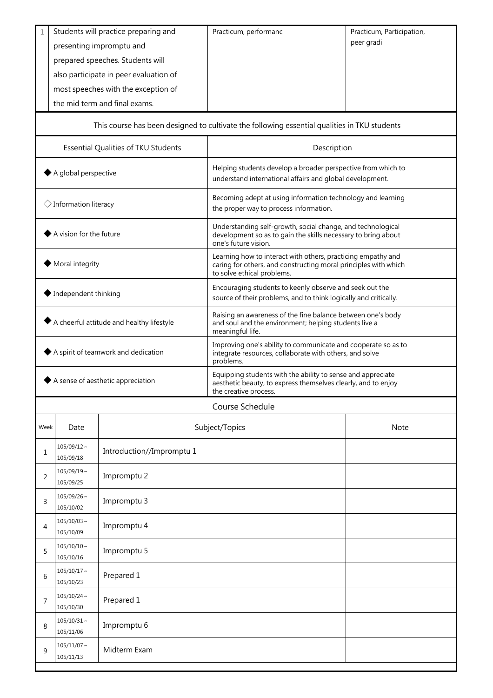| $\mathbf{1}$                                            | Students will practice preparing and<br>presenting impromptu and<br>prepared speeches. Students will<br>also participate in peer evaluation of<br>most speeches with the exception of<br>the mid term and final exams. |                           | Practicum, performanc                                                                                                                                         | Practicum, Participation,<br>peer gradi |  |
|---------------------------------------------------------|------------------------------------------------------------------------------------------------------------------------------------------------------------------------------------------------------------------------|---------------------------|---------------------------------------------------------------------------------------------------------------------------------------------------------------|-----------------------------------------|--|
|                                                         |                                                                                                                                                                                                                        |                           | This course has been designed to cultivate the following essential qualities in TKU students                                                                  |                                         |  |
| Essential Qualities of TKU Students                     |                                                                                                                                                                                                                        |                           | Description                                                                                                                                                   |                                         |  |
| ◆ A global perspective                                  |                                                                                                                                                                                                                        |                           | Helping students develop a broader perspective from which to<br>understand international affairs and global development.                                      |                                         |  |
| $\Diamond$ Information literacy                         |                                                                                                                                                                                                                        |                           | Becoming adept at using information technology and learning<br>the proper way to process information.                                                         |                                         |  |
| A vision for the future                                 |                                                                                                                                                                                                                        |                           | Understanding self-growth, social change, and technological<br>development so as to gain the skills necessary to bring about<br>one's future vision.          |                                         |  |
| Moral integrity                                         |                                                                                                                                                                                                                        |                           | Learning how to interact with others, practicing empathy and<br>caring for others, and constructing moral principles with which<br>to solve ethical problems. |                                         |  |
| ◆ Independent thinking                                  |                                                                                                                                                                                                                        |                           | Encouraging students to keenly observe and seek out the<br>source of their problems, and to think logically and critically.                                   |                                         |  |
| A cheerful attitude and healthy lifestyle               |                                                                                                                                                                                                                        |                           | Raising an awareness of the fine balance between one's body<br>and soul and the environment; helping students live a<br>meaningful life.                      |                                         |  |
| ◆ A spirit of teamwork and dedication                   |                                                                                                                                                                                                                        |                           | Improving one's ability to communicate and cooperate so as to<br>integrate resources, collaborate with others, and solve<br>problems.                         |                                         |  |
| $\blacktriangleright$ A sense of aesthetic appreciation |                                                                                                                                                                                                                        |                           | Equipping students with the ability to sense and appreciate<br>aesthetic beauty, to express themselves clearly, and to enjoy<br>the creative process.         |                                         |  |
|                                                         |                                                                                                                                                                                                                        |                           | Course Schedule                                                                                                                                               |                                         |  |
| Week                                                    | Date                                                                                                                                                                                                                   |                           | Subject/Topics                                                                                                                                                | Note                                    |  |
| 1                                                       | $105/09/12 \sim$<br>105/09/18                                                                                                                                                                                          | Introduction//Impromptu 1 |                                                                                                                                                               |                                         |  |
| 2                                                       | $105/09/19$ ~<br>105/09/25                                                                                                                                                                                             | Impromptu 2               |                                                                                                                                                               |                                         |  |
| 3                                                       | $105/09/26$ ~<br>105/10/02                                                                                                                                                                                             | Impromptu 3               |                                                                                                                                                               |                                         |  |
| 4                                                       | $105/10/03 \sim$<br>105/10/09                                                                                                                                                                                          | Impromptu 4               |                                                                                                                                                               |                                         |  |
| 5                                                       | $105/10/10 \sim$<br>105/10/16                                                                                                                                                                                          | Impromptu 5               |                                                                                                                                                               |                                         |  |
| 6                                                       | $105/10/17$ ~<br>105/10/23                                                                                                                                                                                             | Prepared 1                |                                                                                                                                                               |                                         |  |
| 7                                                       | $105/10/24$ ~<br>105/10/30                                                                                                                                                                                             | Prepared 1                |                                                                                                                                                               |                                         |  |
| 8                                                       | $105/10/31$ ~<br>105/11/06                                                                                                                                                                                             | Impromptu 6               |                                                                                                                                                               |                                         |  |
| 9                                                       | $105/11/07$ ~<br>Midterm Exam<br>105/11/13                                                                                                                                                                             |                           |                                                                                                                                                               |                                         |  |